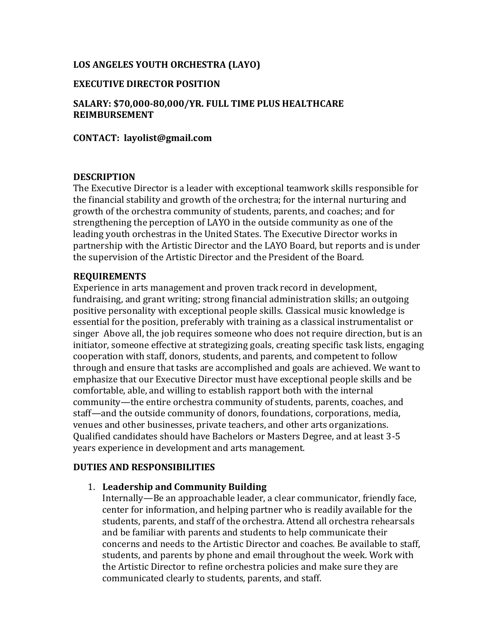# **LOS ANGELES YOUTH ORCHESTRA (LAYO)**

## **EXECUTIVE DIRECTOR POSITION**

**SALARY: \$70,000-80,000/YR. FULL TIME PLUS HEALTHCARE REIMBURSEMENT**

## **CONTACT: layolist@gmail.com**

#### **DESCRIPTION**

The Executive Director is a leader with exceptional teamwork skills responsible for the financial stability and growth of the orchestra; for the internal nurturing and growth of the orchestra community of students, parents, and coaches; and for strengthening the perception of LAYO in the outside community as one of the leading youth orchestras in the United States. The Executive Director works in partnership with the Artistic Director and the LAYO Board, but reports and is under the supervision of the Artistic Director and the President of the Board.

## **REQUIREMENTS**

Experience in arts management and proven track record in development, fundraising, and grant writing; strong financial administration skills; an outgoing positive personality with exceptional people skills. Classical music knowledge is essential for the position, preferably with training as a classical instrumentalist or singer Above all, the job requires someone who does not require direction, but is an initiator, someone effective at strategizing goals, creating specific task lists, engaging cooperation with staff, donors, students, and parents, and competent to follow through and ensure that tasks are accomplished and goals are achieved. We want to emphasize that our Executive Director must have exceptional people skills and be comfortable, able, and willing to establish rapport both with the internal community—the entire orchestra community of students, parents, coaches, and staff—and the outside community of donors, foundations, corporations, media, venues and other businesses, private teachers, and other arts organizations. Qualified candidates should have Bachelors or Masters Degree, and at least 3-5 years experience in development and arts management.

# **DUTIES AND RESPONSIBILITIES**

# 1. **Leadership and Community Building**

Internally—Be an approachable leader, a clear communicator, friendly face, center for information, and helping partner who is readily available for the students, parents, and staff of the orchestra. Attend all orchestra rehearsals and be familiar with parents and students to help communicate their concerns and needs to the Artistic Director and coaches. Be available to staff, students, and parents by phone and email throughout the week. Work with the Artistic Director to refine orchestra policies and make sure they are communicated clearly to students, parents, and staff.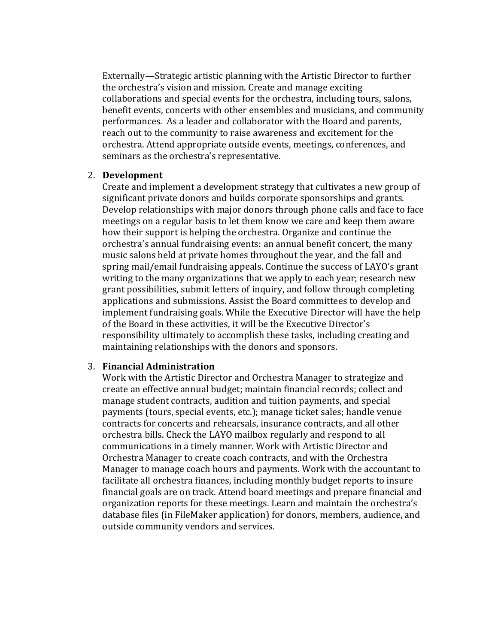Externally—Strategic artistic planning with the Artistic Director to further the orchestra's vision and mission. Create and manage exciting collaborations and special events for the orchestra, including tours, salons, benefit events, concerts with other ensembles and musicians, and community performances. As a leader and collaborator with the Board and parents, reach out to the community to raise awareness and excitement for the orchestra. Attend appropriate outside events, meetings, conferences, and seminars as the orchestra's representative.

#### 2. **Development**

Create and implement a development strategy that cultivates a new group of significant private donors and builds corporate sponsorships and grants. Develop relationships with major donors through phone calls and face to face meetings on a regular basis to let them know we care and keep them aware how their support is helping the orchestra. Organize and continue the orchestra's annual fundraising events: an annual benefit concert, the many music salons held at private homes throughout the year, and the fall and spring mail/email fundraising appeals. Continue the success of LAYO's grant writing to the many organizations that we apply to each year; research new grant possibilities, submit letters of inquiry, and follow through completing applications and submissions. Assist the Board committees to develop and implement fundraising goals. While the Executive Director will have the help of the Board in these activities, it will be the Executive Director's responsibility ultimately to accomplish these tasks, including creating and maintaining relationships with the donors and sponsors.

#### 3. **Financial Administration**

Work with the Artistic Director and Orchestra Manager to strategize and create an effective annual budget; maintain financial records; collect and manage student contracts, audition and tuition payments, and special payments (tours, special events, etc.); manage ticket sales; handle venue contracts for concerts and rehearsals, insurance contracts, and all other orchestra bills. Check the LAYO mailbox regularly and respond to all communications in a timely manner. Work with Artistic Director and Orchestra Manager to create coach contracts, and with the Orchestra Manager to manage coach hours and payments. Work with the accountant to facilitate all orchestra finances, including monthly budget reports to insure financial goals are on track. Attend board meetings and prepare financial and organization reports for these meetings. Learn and maintain the orchestra's database files (in FileMaker application) for donors, members, audience, and outside community vendors and services.